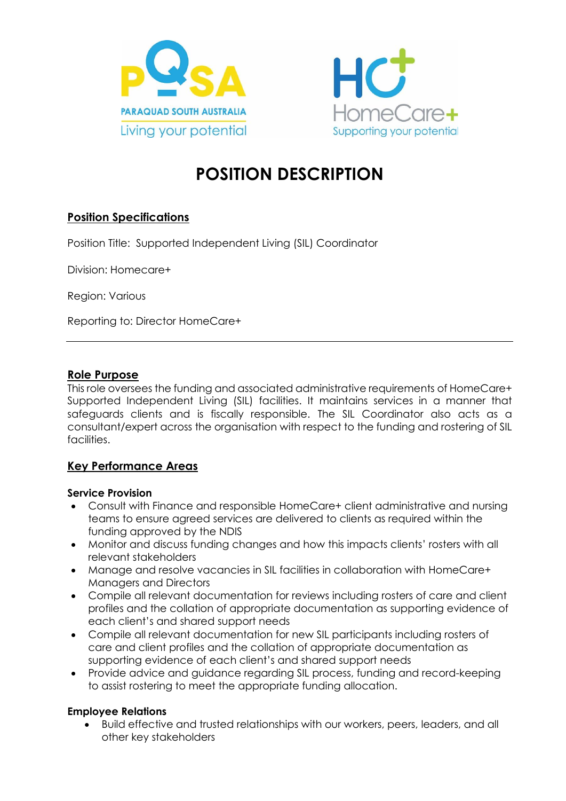



# **POSITION DESCRIPTION**

# **Position Specifications**

Position Title: Supported Independent Living (SIL) Coordinator

Division: Homecare+

Region: Various

Reporting to: Director HomeCare+

### **Role Purpose**

This role oversees the funding and associated administrative requirements of HomeCare+ Supported Independent Living (SIL) facilities. It maintains services in a manner that safeguards clients and is fiscally responsible. The SIL Coordinator also acts as a consultant/expert across the organisation with respect to the funding and rostering of SIL facilities.

# **Key Performance Areas**

#### **Service Provision**

- Consult with Finance and responsible HomeCare+ client administrative and nursing teams to ensure agreed services are delivered to clients as required within the funding approved by the NDIS
- Monitor and discuss funding changes and how this impacts clients' rosters with all relevant stakeholders
- Manage and resolve vacancies in SIL facilities in collaboration with HomeCare+ Managers and Directors
- Compile all relevant documentation for reviews including rosters of care and client profiles and the collation of appropriate documentation as supporting evidence of each client's and shared support needs
- Compile all relevant documentation for new SIL participants including rosters of care and client profiles and the collation of appropriate documentation as supporting evidence of each client's and shared support needs
- Provide advice and guidance regarding SIL process, funding and record-keeping to assist rostering to meet the appropriate funding allocation.

### **Employee Relations**

• Build effective and trusted relationships with our workers, peers, leaders, and all other key stakeholders